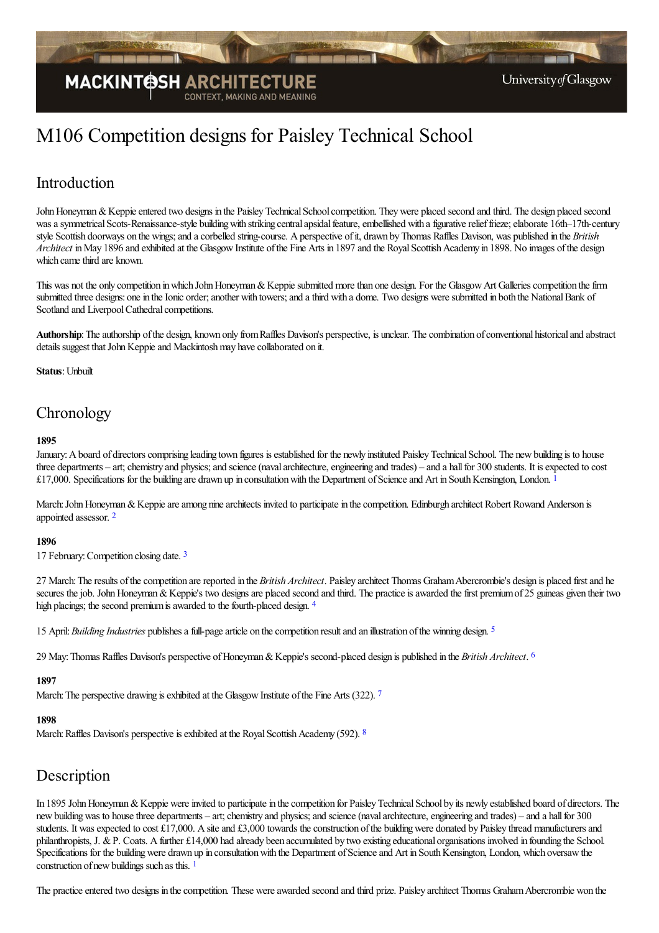

# M106 Competition designs for Paisley Technical School

# Introduction

John Honeyman & Keppie entered two designs in the Paisley Technical School competition. They were placed second and third. The design placed second was a symmetrical Scots-Renaissance-style building with striking central apsidal feature, embellished with a figurative relief frieze; elaborate 16th–17th-century style Scottish doorways on the wings; and a corbelled string-course. A perspective of it, drawn by Thomas Raffles Davison, was published in the *British Architect* in May 1896 and exhibited at the Glasgow Institute of the Fine Arts in 1897 and the Royal Scottish Academy in 1898. No images of the design which came third are known.

This was not the only competition in which John Honeyman & Keppie submitted more than one design. For the Glasgow Art Galleries competition the firm submitted three designs: one in the Ionic order; another with towers; and a third with a dome. Two designs were submitted in both the National Bank of Scotland and Liverpool Cathedral competitions.

Authorship: The authorship of the design, known only from Raffles Davison's perspective, is unclear. The combination of conventional historical and abstract details suggest that John Keppie and Mackintosh may have collaborated on it.

**Status**: Unbuilt

# **Chronology**

#### <span id="page-0-0"></span>**1895**

January: A board of directors comprising leading town figures is established for the newly instituted Paisley Technical School. The new building is to house three departments – art; chemistry and physics; and science (naval architecture, engineering and trades) – and a hall for 300 students. It is expected to cost £[1](#page-2-0)7,000. Specifications for the building are drawn up in consultation with the Department of Science and Art in South Kensington, London.  $1$ 

<span id="page-0-1"></span>March: John Honeyman & Keppie are among nine architects invited to participate in the conpetition. Edinburgh architect Robert Rowand Anderson is appointed assessor. [2](#page-2-1)

#### **1896**

<span id="page-0-2"></span>17 February: Competition closing date. [3](#page-2-2)

27 March:Theresults ofthecompetition arereported in the *British Architect*. Paisley architect Thomas GrahamAbercrombie's design is placed firstand he secures the job. John Honeyman & Keppie's two designs are placed second and third. The practice is awarded the first premium of 25 guineas given their two high placings; the second premium is awarded to the fourth-placed design. [4](#page-2-3)

<span id="page-0-5"></span><span id="page-0-4"></span><span id="page-0-3"></span>15 April:*Building Industries* publishesafull-pagearticle on thecompetition resultand an illustration ofthe winning design. [5](#page-2-4)

29 May:Thomas Raffles Davison's perspective ofHoneyman&Keppie's second-placed design is published in the *British Architect*. [6](#page-2-5)

#### <span id="page-0-6"></span>**1897**

March: The perspective drawing is exhibited at the Glasgow Institute of the Fine Arts (322). [7](#page-2-6)

#### <span id="page-0-7"></span>**1898**

March: Raffles Davison's perspective is exhibited at the Royal Scottish Academy (592). <sup>[8](#page-2-7)</sup>

### Description

In 1895 John Honeyman & Keppie were invited to participate in the competition for Paisley Technical School by its newly established board of directors. The new building was to house three departments – art; chemistry and physics; and science (naval architecture, engineering and trades) – and a hall for 300 students. It was expected to cost £17,000. A site and £3,000 towards the construction of the building were donated by Paisley thread manufacturers and philanthropists, J. &P. Coats. Afurther £14,000 had already been accumulated by two existing educational organisations involved in founding the School. Specifications for the building were drawn up in consultation with the Department of Science and Art in South Kensington, London, which oversaw the construction of new buildings such as this. <sup>[1](#page-2-8)</sup>

<span id="page-0-8"></span>The practice entered two designs in the competition. These were awarded second and third prize. Paisley architect Thomas Graham Abercrombie won the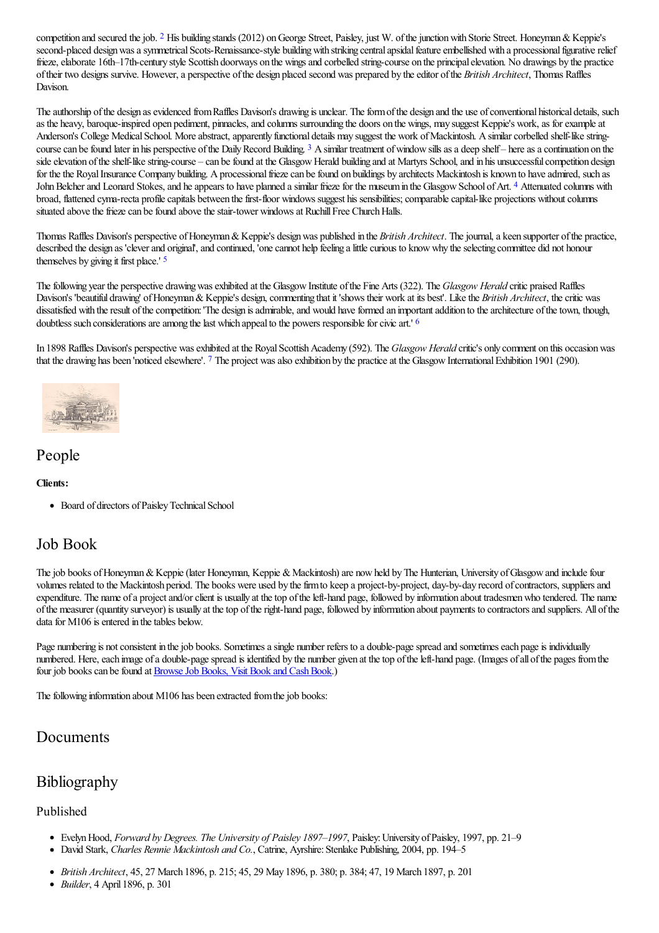<span id="page-1-0"></span>competition and secured the job. <sup>[2](#page-2-9)</sup> His building stands (2012) on George Street, Paisley, just W. of the junction with Storie Street. Honeyman & Keppie's second-placed design was a symmetrical Scots-Renaissance-style building with striking central apsidal feature embellished with a processional figurative relief frieze, elaborate 16th–17th-century style Scottish doorways on the wings and corbelled string-course on the principal elevation. No drawings by the practice oftheir two designs survive. However,a perspective ofthe design placed second was prepared by theeditor ofthe *British Architect*, Thomas Raffles Davison.

<span id="page-1-1"></span>The authorship of the design as evidenced from Raffles Davison's drawing is unclear. The form of the design and the use of conventional historical details, such as the heavy, baroque-inspired open pediment, pinnacles, and columns surrounding the doors on the wings, may suggest Keppie's work, as for example at Anderson's College Medical School. More abstract, apparently functional details may suggest the work of Mackintosh. A similar corbelled shelf-like string-course can be found later in his perspective of the Daily Record Building. <sup>[3](#page-2-10)</sup> A similar treatment of window sills as a deep shelf – here as a continuation on the side elevation of the shelf-like string-course – can be found at the Glasgow Herald building and at Martyrs School, and in his unsuccessful competition design for the the Royal Insurance Company building. A processional frieze can be found on buildings by architects Mackintosh is known to have admired, such as John Belcher and Leonard Stokes, and he appears to have planned a similar frieze for the museum in the Glasgow School of Art. <sup>[4](#page-2-11)</sup> Attenuated columns with broad, flattened cyma-recta profile capitals between the first-floor windows suggest his sensibilities; comparable capital-like projections without columns situated above the frieze can be found above the stair-tower windows at Ruchill Free Church Halls.

<span id="page-1-3"></span><span id="page-1-2"></span>Thomas Raffles Davison's perspective of Honeyman & Keppie's design was published in the *British Architect*. The journal, a keen supporter of the practice, described the design as 'clever and original', and continued, 'one cannot help feeling a little curious to know why the selecting committee did not honour themselves by giving it first place.' [5](#page-2-12)

The following year the perspective drawing was exhibited at the Glasgow Institute of the Fine Arts (322). The *Glasgow Herald* critic praised Raffles Davison's 'beautiful drawing' of Honeyman & Keppie's design, commenting that it 'shows their work at its best'. Like the *British Architect*, the critic was dissatisfied with the result of the competition: 'The design is admirable, and would have formed an important addition to the architecture of the town, though, doubtless such considerations are among the last which appeal to the powers responsible for civic art.'  $\epsilon$ 

<span id="page-1-4"></span>In 1898 Raffles Davison's perspective was exhibited at the Royal Scottish Academy (592). The *Glasgow Herald* critic's only comment on this occasion was that the drawing has been 'noticed elsewhere'. <sup>[7](#page-2-14)</sup> The project was also exhibition by the practice at the Glasgow International Exhibition 1901 (290).

<span id="page-1-5"></span>

### People

#### **Clients:**

• Board of directors of Paisley Technical School

### Job Book

The job books of Honeyman & Keppie (later Honeyman, Keppie & Mackintosh) are now held by The Hunterian, University of Glasgow and include four volumes related to the Mackintosh period. The books were used by the firm to keep a project-by-project, day-by-day record of contractors, suppliers and expenditure. The name of a project and/or client is usually at the top of the left-hand page, followed by information about tradesmen who tendered. The name ofthe measurer (quantity surveyor) is usually at thetop oftheright-hand page, followed by information about payments to contractorsand suppliers. All ofthe data for M106 is entered in the tables below.

Page numbering is not consistent in the job books. Sometimes a single number refers to a double-page spread and sometimes each page is individually numbered. Here, each image of a double-page spread is identified by the number given at the top of the left-hand page. (Images of all of the pages from the four job books can be found at **Browse Job Books**, Visit Book and Cash Book.)

The following information about M106 has been extracted from the job books:

### Documents

## Bibliography

### Published

- EvelynHood, *Forward by Degrees. The University of Paisley 1897–1997*, Paisley:University ofPaisley, 1997, pp. 21–9
- $\bullet$  David Stark, *Charles Rennie Mackintosh and Co.*, Catrine, Ayrshire: Stenlake Publishing, 2004, pp. 194–5
- *British Architect*, 45, 27 March 1896, p. 215; 45, 29 May 1896, p. 380; p. 384; 47, 19 March 1897, p. 201
- *Builder*, 4 April 1896, p. 301